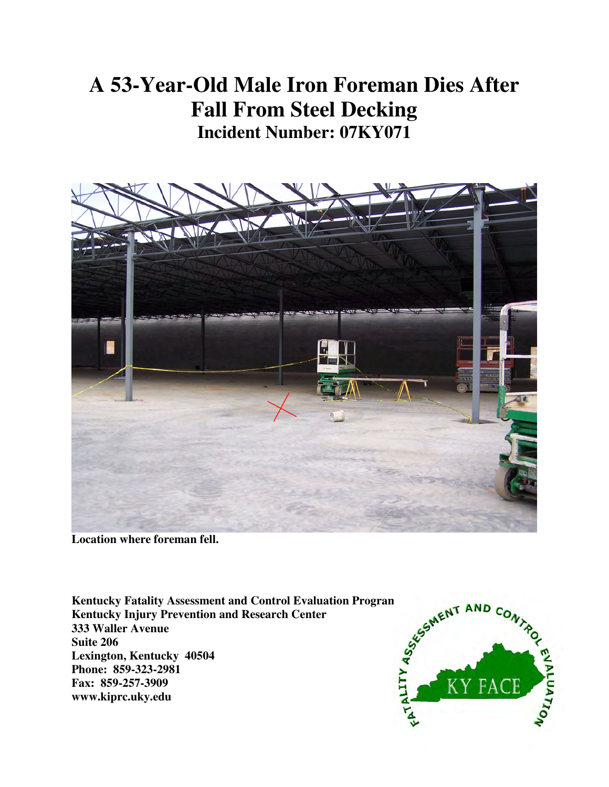# **A 53-Year-Old Male Iron Foreman Dies After Fall From Steel Decking Incident Number: 07KY071**



 **Location where foreman fell.** 

**Kentucky Injury Prevention and Research Center 333 Waller Avenue Suite 206 Lexington, Kentucky 40504** Phone: 859-323-2981  **www.kiprc.uky.edu Kentucky Fatality Assessment and Control Evaluation Program Kentucky Injury Prevention and Research Center 333 Waller Avenue Suite 206 Lexington, Kentucky 40504 Phone: 859-323-2981 Fax: 859-257-3909** 

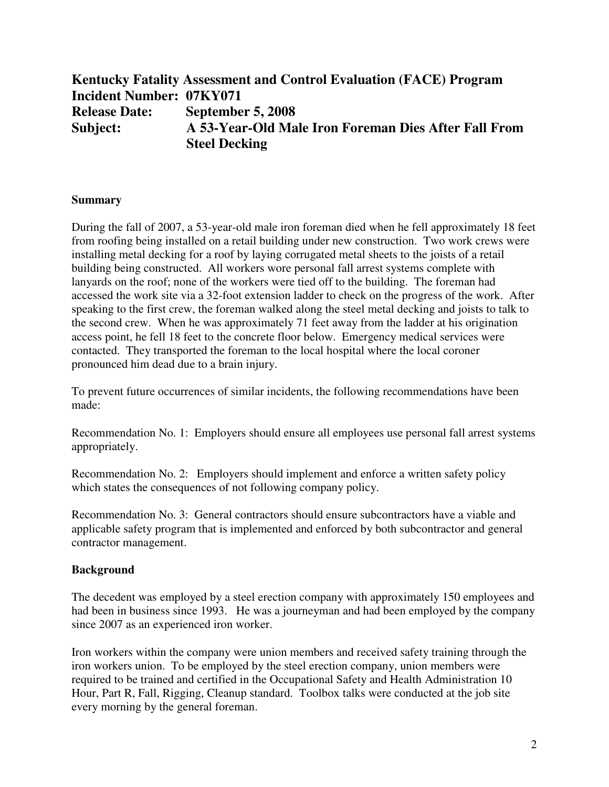#### **Kentucky Fatality Assessment and Control Evaluation (FACE) Program Incident Number: 07KY071 Release Date: Subject: A 53-Year-Old Male Iron Foreman Dies After Fall From September 5, 2008 Steel Decking**

## **Summary**

 speaking to the first crew, the foreman walked along the steel metal decking and joists to talk to During the fall of 2007, a 53-year-old male iron foreman died when he fell approximately 18 feet from roofing being installed on a retail building under new construction. Two work crews were installing metal decking for a roof by laying corrugated metal sheets to the joists of a retail building being constructed. All workers wore personal fall arrest systems complete with lanyards on the roof; none of the workers were tied off to the building. The foreman had accessed the work site via a 32-foot extension ladder to check on the progress of the work. After the second crew. When he was approximately 71 feet away from the ladder at his origination access point, he fell 18 feet to the concrete floor below. Emergency medical services were contacted. They transported the foreman to the local hospital where the local coroner pronounced him dead due to a brain injury.

To prevent future occurrences of similar incidents, the following recommendations have been made:

Recommendation No. 1: Employers should ensure all employees use personal fall arrest systems appropriately.

Recommendation No. 2: Employers should implement and enforce a written safety policy which states the consequences of not following company policy.

 applicable safety program that is implemented and enforced by both subcontractor and general Recommendation No. 3: General contractors should ensure subcontractors have a viable and contractor management.

#### **Background**

The decedent was employed by a steel erection company with approximately 150 employees and had been in business since 1993. He was a journeyman and had been employed by the company since 2007 as an experienced iron worker.

Iron workers within the company were union members and received safety training through the iron workers union. To be employed by the steel erection company, union members were required to be trained and certified in the Occupational Safety and Health Administration 10 Hour, Part R, Fall, Rigging, Cleanup standard. Toolbox talks were conducted at the job site every morning by the general foreman.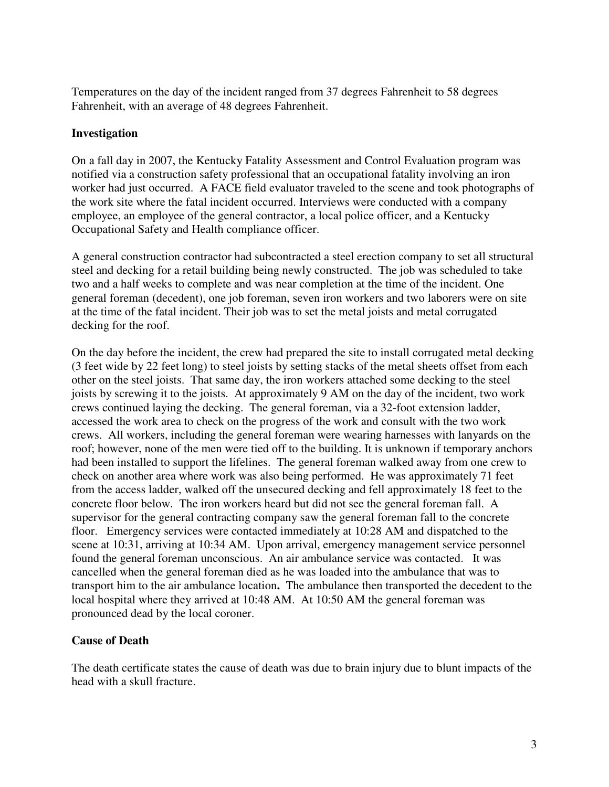Temperatures on the day of the incident ranged from 37 degrees Fahrenheit to 58 degrees Fahrenheit, with an average of 48 degrees Fahrenheit.

## **Investigation**

On a fall day in 2007, the Kentucky Fatality Assessment and Control Evaluation program was notified via a construction safety professional that an occupational fatality involving an iron worker had just occurred. A FACE field evaluator traveled to the scene and took photographs of the work site where the fatal incident occurred. Interviews were conducted with a company employee, an employee of the general contractor, a local police officer, and a Kentucky Occupational Safety and Health compliance officer.

 steel and decking for a retail building being newly constructed. The job was scheduled to take general foreman (decedent), one job foreman, seven iron workers and two laborers were on site A general construction contractor had subcontracted a steel erection company to set all structural two and a half weeks to complete and was near completion at the time of the incident. One at the time of the fatal incident. Their job was to set the metal joists and metal corrugated decking for the roof.

 other on the steel joists. That same day, the iron workers attached some decking to the steel crews continued laying the decking. The general foreman, via a 32-foot extension ladder, crews. All workers, including the general foreman were wearing harnesses with lanyards on the had been installed to support the lifelines. The general foreman walked away from one crew to check on another area where work was also being performed. He was approximately 71 feet from the access ladder, walked off the unsecured decking and fell approximately 18 feet to the found the general foreman unconscious. An air ambulance service was contacted. It was On the day before the incident, the crew had prepared the site to install corrugated metal decking (3 feet wide by 22 feet long) to steel joists by setting stacks of the metal sheets offset from each joists by screwing it to the joists. At approximately 9 AM on the day of the incident, two work accessed the work area to check on the progress of the work and consult with the two work roof; however, none of the men were tied off to the building. It is unknown if temporary anchors concrete floor below. The iron workers heard but did not see the general foreman fall. A supervisor for the general contracting company saw the general foreman fall to the concrete floor. Emergency services were contacted immediately at 10:28 AM and dispatched to the scene at 10:31, arriving at 10:34 AM. Upon arrival, emergency management service personnel cancelled when the general foreman died as he was loaded into the ambulance that was to transport him to the air ambulance location**.** The ambulance then transported the decedent to the local hospital where they arrived at 10:48 AM. At 10:50 AM the general foreman was pronounced dead by the local coroner.

## **Cause of Death**

The death certificate states the cause of death was due to brain injury due to blunt impacts of the head with a skull fracture.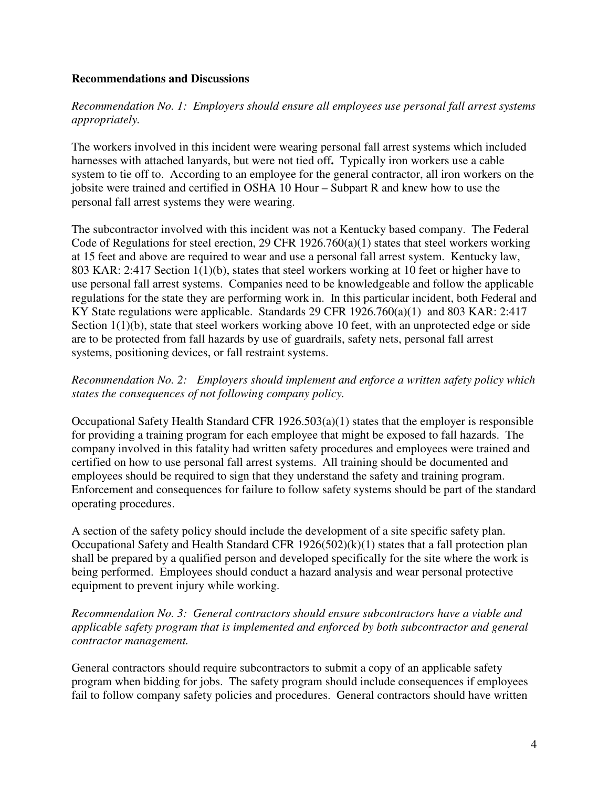### **Recommendations and Discussions**

## *Recommendation No. 1: Employers should ensure all employees use personal fall arrest systems appropriately.*

 harnesses with attached lanyards, but were not tied off**.** Typically iron workers use a cable system to tie off to. According to an employee for the general contractor, all iron workers on the The workers involved in this incident were wearing personal fall arrest systems which included jobsite were trained and certified in OSHA 10 Hour – Subpart R and knew how to use the personal fall arrest systems they were wearing.

 at 15 feet and above are required to wear and use a personal fall arrest system. Kentucky law, regulations for the state they are performing work in. In this particular incident, both Federal and KY State regulations were applicable. Standards 29 CFR 1926.760(a)(1) and 803 KAR: 2:417 The subcontractor involved with this incident was not a Kentucky based company. The Federal Code of Regulations for steel erection, 29 CFR 1926.760(a)(1) states that steel workers working 803 KAR: 2:417 Section 1(1)(b), states that steel workers working at 10 feet or higher have to use personal fall arrest systems. Companies need to be knowledgeable and follow the applicable Section 1(1)(b), state that steel workers working above 10 feet, with an unprotected edge or side are to be protected from fall hazards by use of guardrails, safety nets, personal fall arrest systems, positioning devices, or fall restraint systems.

## *Recommendation No. 2: Employers should implement and enforce a written safety policy which states the consequences of not following company policy.*

Occupational Safety Health Standard CFR 1926.503(a)(1) states that the employer is responsible for providing a training program for each employee that might be exposed to fall hazards. The company involved in this fatality had written safety procedures and employees were trained and certified on how to use personal fall arrest systems. All training should be documented and employees should be required to sign that they understand the safety and training program. Enforcement and consequences for failure to follow safety systems should be part of the standard operating procedures.

A section of the safety policy should include the development of a site specific safety plan. Occupational Safety and Health Standard CFR 1926(502)(k)(1) states that a fall protection plan shall be prepared by a qualified person and developed specifically for the site where the work is being performed. Employees should conduct a hazard analysis and wear personal protective equipment to prevent injury while working.

*Recommendation No. 3: General contractors should ensure subcontractors have a viable and applicable safety program that is implemented and enforced by both subcontractor and general contractor management.* 

 program when bidding for jobs. The safety program should include consequences if employees General contractors should require subcontractors to submit a copy of an applicable safety fail to follow company safety policies and procedures. General contractors should have written